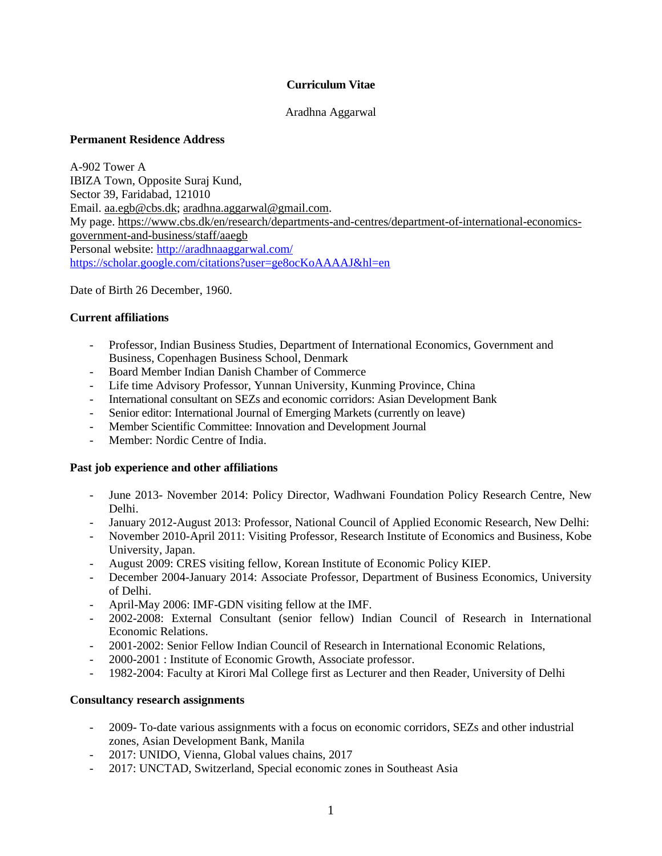### **Curriculum Vitae**

#### Aradhna Aggarwal

### **Permanent Residence Address**

A-902 Tower A IBIZA Town, Opposite Suraj Kund, Sector 39, Faridabad, 121010 Email. [aa.egb@cbs.dk;](mailto:aa.egb@cbs.dk) [aradhna.aggarwal@gmail.com.](mailto:aradhna.aggarwal@gmail.com) My page. [https://www.cbs.dk/en/research/departments-and-centres/department-of-international-economics](https://www.cbs.dk/en/research/departments-and-centres/department-of-international-economics-government-and-business/staff/aaegb)[government-and-business/staff/aaegb](https://www.cbs.dk/en/research/departments-and-centres/department-of-international-economics-government-and-business/staff/aaegb) Personal website:<http://aradhnaaggarwal.com/> <https://scholar.google.com/citations?user=ge8ocKoAAAAJ&hl=en>

Date of Birth 26 December, 1960.

## **Current affiliations**

- Professor, Indian Business Studies, Department of International Economics, Government and Business, Copenhagen Business School, Denmark
- Board Member Indian Danish Chamber of Commerce
- Life time Advisory Professor, Yunnan University, Kunming Province, China
- International consultant on SEZs and economic corridors: Asian Development Bank
- Senior editor: International Journal of Emerging Markets (currently on leave)
- Member Scientific Committee: Innovation and Development Journal
- Member: Nordic Centre of India.

### **Past job experience and other affiliations**

- June 2013- November 2014: Policy Director, Wadhwani Foundation Policy Research Centre, New Delhi.
- January 2012-August 2013: Professor, National Council of Applied Economic Research, New Delhi:
- November 2010-April 2011: Visiting Professor, Research Institute of Economics and Business, Kobe University, Japan.
- August 2009: CRES visiting fellow, Korean Institute of Economic Policy KIEP.
- December 2004-January 2014: Associate Professor, Department of Business Economics, University of Delhi.
- April-May 2006: IMF-GDN visiting fellow at the IMF.
- 2002-2008: External Consultant (senior fellow) Indian Council of Research in International Economic Relations.
- 2001-2002: Senior Fellow Indian Council of Research in International Economic Relations,
- 2000-2001 : Institute of Economic Growth, Associate professor.
- 1982-2004: Faculty at Kirori Mal College first as Lecturer and then Reader, University of Delhi

### **Consultancy research assignments**

- 2009- To-date various assignments with a focus on economic corridors, SEZs and other industrial zones, Asian Development Bank, Manila
- 2017: UNIDO, Vienna, Global values chains, 2017
- 2017: UNCTAD, Switzerland, Special economic zones in Southeast Asia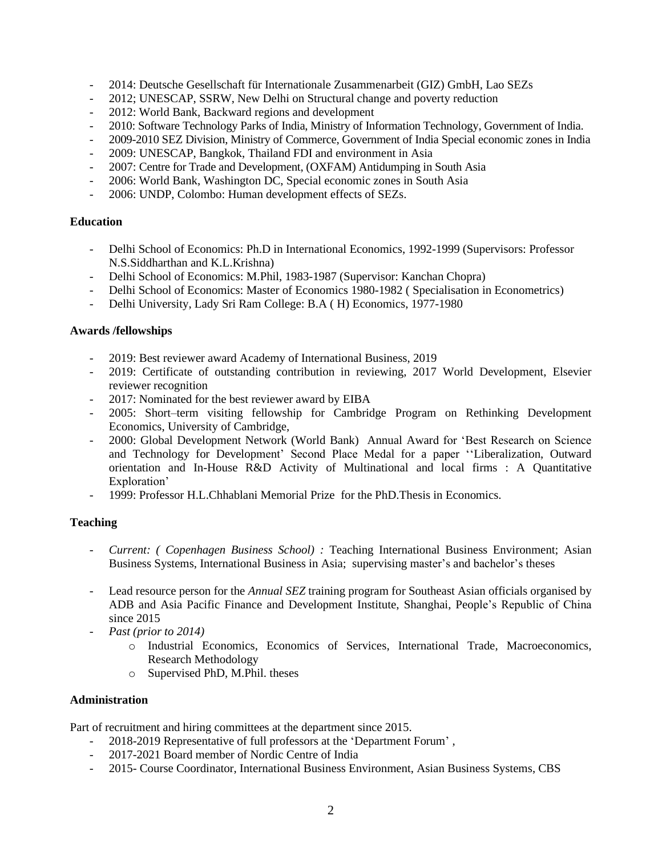- 2014: Deutsche Gesellschaft für Internationale Zusammenarbeit (GIZ) GmbH, Lao SEZs
- 2012; UNESCAP, SSRW, New Delhi on Structural change and poverty reduction
- 2012: World Bank, Backward regions and development
- 2010: Software Technology Parks of India, Ministry of Information Technology, Government of India.
- 2009-2010 SEZ Division, Ministry of Commerce, Government of India Special economic zones in India
- 2009: UNESCAP, Bangkok, Thailand FDI and environment in Asia
- 2007: Centre for Trade and Development, (OXFAM) Antidumping in South Asia
- 2006: World Bank, Washington DC, Special economic zones in South Asia
- 2006: UNDP, Colombo: Human development effects of SEZs.

### **Education**

- Delhi School of Economics: Ph.D in International Economics, 1992-1999 (Supervisors: Professor N.S.Siddharthan and K.L.Krishna)
- Delhi School of Economics: M.Phil, 1983-1987 (Supervisor: Kanchan Chopra)
- Delhi School of Economics: Master of Economics 1980-1982 ( Specialisation in Econometrics)
- Delhi University, Lady Sri Ram College: B.A ( H) Economics, 1977-1980

## **Awards /fellowships**

- 2019: Best reviewer award Academy of International Business, 2019
- 2019: Certificate of outstanding contribution in reviewing, 2017 World Development, Elsevier reviewer recognition
- 2017: Nominated for the best reviewer award by EIBA
- 2005: Short–term visiting fellowship for Cambridge Program on Rethinking Development Economics, University of Cambridge,
- 2000: Global Development Network (World Bank) Annual Award for 'Best Research on Science and Technology for Development' Second Place Medal for a paper ''Liberalization, Outward orientation and In-House R&D Activity of Multinational and local firms : A Quantitative Exploration'
- 1999: Professor H.L.Chhablani Memorial Prize for the PhD.Thesis in Economics.

# **Teaching**

- *Current: ( Copenhagen Business School) :* Teaching International Business Environment; Asian Business Systems, International Business in Asia; supervising master's and bachelor's theses
- Lead resource person for the *Annual SEZ* training program for Southeast Asian officials organised by ADB and Asia Pacific Finance and Development Institute, Shanghai, People's Republic of China since 2015
- *Past (prior to 2014)*
	- o Industrial Economics, Economics of Services, International Trade, Macroeconomics, Research Methodology
	- o Supervised PhD, M.Phil. theses

### **Administration**

Part of recruitment and hiring committees at the department since 2015.

- 2018-2019 Representative of full professors at the 'Department Forum' ,
- 2017-2021 Board member of Nordic Centre of India
- 2015- Course Coordinator, International Business Environment, Asian Business Systems, CBS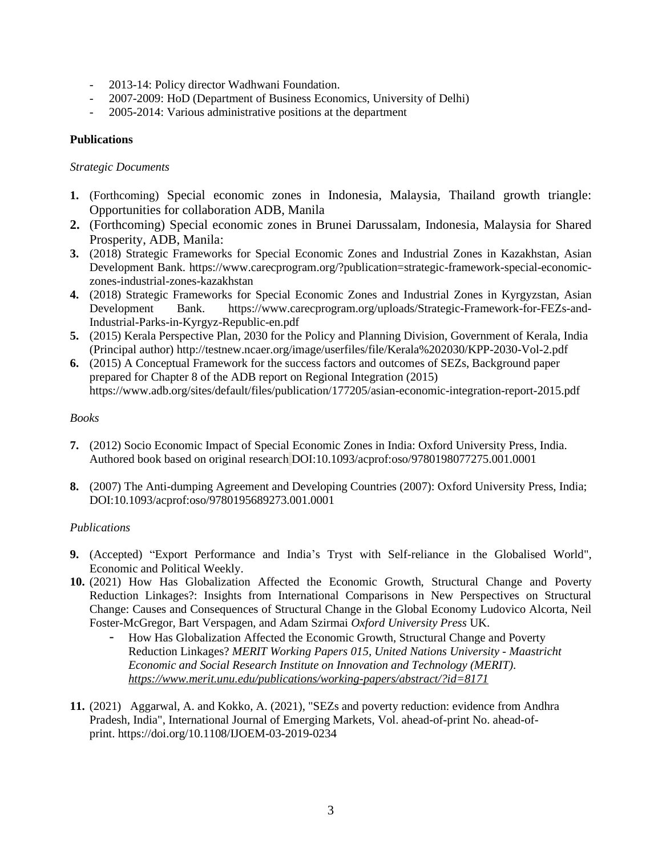- 2013-14: Policy director Wadhwani Foundation.
- 2007-2009: HoD (Department of Business Economics, University of Delhi)
- 2005-2014: Various administrative positions at the department

## **Publications**

#### *Strategic Documents*

- **1.** (Forthcoming) Special economic zones in Indonesia, Malaysia, Thailand growth triangle: Opportunities for collaboration ADB, Manila
- **2.** (Forthcoming) Special economic zones in Brunei Darussalam, Indonesia, Malaysia for Shared Prosperity, ADB, Manila:
- **3.** (2018) Strategic Frameworks for Special Economic Zones and Industrial Zones in Kazakhstan, Asian Development Bank. https://www.carecprogram.org/?publication=strategic-framework-special-economiczones-industrial-zones-kazakhstan
- **4.** (2018) Strategic Frameworks for Special Economic Zones and Industrial Zones in Kyrgyzstan, Asian Development Bank. https://www.carecprogram.org/uploads/Strategic-Framework-for-FEZs-and-Industrial-Parks-in-Kyrgyz-Republic-en.pdf
- **5.** (2015) Kerala Perspective Plan, 2030 for the Policy and Planning Division, Government of Kerala, India (Principal author) http://testnew.ncaer.org/image/userfiles/file/Kerala%202030/KPP-2030-Vol-2.pdf
- **6.** (2015) A Conceptual Framework for the success factors and outcomes of SEZs, Background paper prepared for Chapter 8 of the ADB report on Regional Integration (2015) https://www.adb.org/sites/default/files/publication/177205/asian-economic-integration-report-2015.pdf

### *Books*

- **7.** (2012) Socio Economic Impact of Special Economic Zones in India: Oxford University Press, India. Authored book based on original research DOI:10.1093/acprof:oso/9780198077275.001.0001
- **8.** (2007) The Anti-dumping Agreement and Developing Countries (2007): Oxford University Press, India; DOI:10.1093/acprof:oso/9780195689273.001.0001

### *Publications*

- **9.** (Accepted) "Export Performance and India's Tryst with Self-reliance in the Globalised World", Economic and Political Weekly.
- **10.** (2021) How Has Globalization Affected the Economic Growth, Structural Change and Poverty Reduction Linkages?: Insights from International Comparisons in New Perspectives on Structural Change: Causes and Consequences of Structural Change in the Global Economy Ludovico Alcorta, Neil Foster-McGregor, Bart Verspagen, and Adam Szirmai *Oxford University Press* UK.
	- How Has Globalization Affected the Economic Growth, Structural Change and Poverty Reduction Linkages? *MERIT Working Papers 015, United Nations University - Maastricht Economic and Social Research Institute on Innovation and Technology (MERIT). <https://www.merit.unu.edu/publications/working-papers/abstract/?id=8171>*
- **11.** (2021) [Aggarwal, A.](https://www.emerald.com/insight/search?q=Aradhna%20Aggarwal) and [Kokko, A.](https://www.emerald.com/insight/search?q=Ari%20Kokko) (2021), "SEZs and poverty reduction: evidence from Andhra Pradesh, India", International [Journal of Emerging Markets,](https://www.emerald.com/insight/publication/issn/1746-8809) Vol. ahead-of-print No. ahead-ofprint. <https://doi.org/10.1108/IJOEM-03-2019-0234>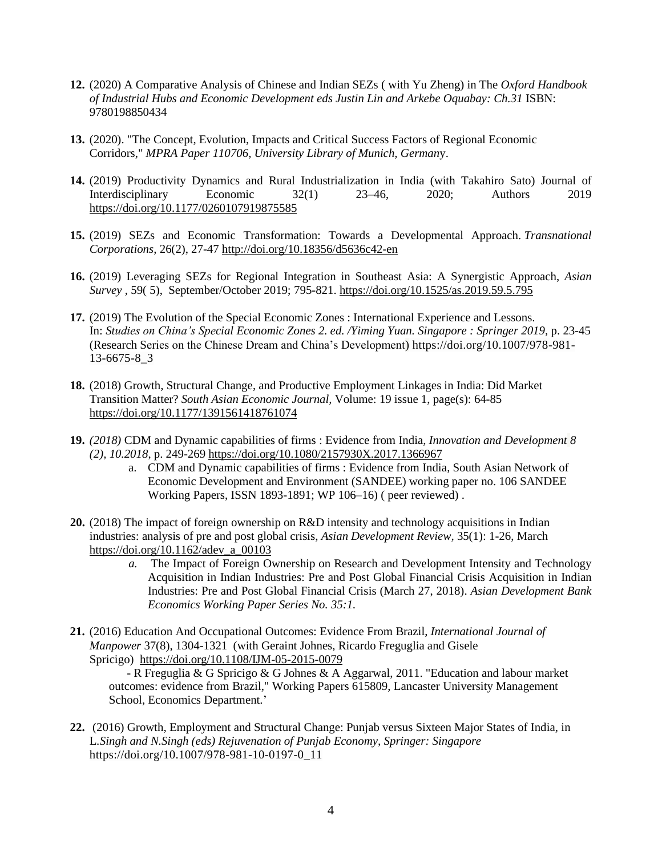- **12.** (2020) A Comparative Analysis of Chinese and Indian SEZs ( with Yu Zheng) in The *Oxford Handbook of Industrial Hubs and Economic Development eds Justin Lin and Arkebe Oquabay: Ch.31* ISBN: 9780198850434
- **13.** (2020). ["The Concept, Evolution, Impacts and Critical Success Factors of Regional Economic](https://ideas.repec.org/p/pra/mprapa/110706.html)  [Corridors,](https://ideas.repec.org/p/pra/mprapa/110706.html)" *[MPRA Paper](https://ideas.repec.org/s/pra/mprapa.html) 110706, University Library of Munich, German*y.
- **14.** (2019) Productivity Dynamics and Rural Industrialization in India (with Takahiro Sato) Journal of Interdisciplinary Economic 32(1) 23–46, 2020; Authors 2019 <https://doi.org/10.1177/0260107919875585>
- **15.** (2019) SEZs and Economic Transformation: Towards a Developmental Approach. *Transnational Corporations*, 26(2), 27-47 <http://doi.org/10.18356/d5636c42-en>
- **16.** (2019) Leveraging SEZs for Regional Integration in Southeast Asia: A Synergistic Approach, *Asian Survey* , 59( 5), September/October 2019; 795-821. <https://doi.org/10.1525/as.2019.59.5.795>
- **17.** (2019) The Evolution of the Special Economic Zones : International Experience and Lessons. In: *Studies on China's Special Economic Zones 2. ed. /Yiming Yuan. Singapore : Springer 2019*, p. 23-45 (Research Series on the Chinese Dream and China's Development) https://doi.org/10.1007/978-981- 13-6675-8\_3
- **18.** (2018) Growth, Structural Change, and Productive Employment Linkages in India: Did Market Transition Matter? *South Asian Economic Journal,* Volume: 19 issue 1, page(s): 64-85 [https://doi.org/10.1177/1391561418761074](https://doi.org/10.1177%2F1391561418761074)
- **19.** *(2018)* CDM and Dynamic capabilities of firms : Evidence from India, *Innovation and Development 8 (2), 10.2018*, p. 249-269 <https://doi.org/10.1080/2157930X.2017.1366967>
	- a. CDM and Dynamic capabilities of firms : Evidence from India, South Asian Network of Economic Development and Environment (SANDEE) working paper no. 106 SANDEE Working Papers, ISSN 1893-1891; WP 106–16) ( peer reviewed) .
- **20.** (2018) The impact of foreign ownership on R&D intensity and technology acquisitions in Indian industries: analysis of pre and post global crisis, *Asian Development Review,* 35(1): 1-26, March [https://doi.org/10.1162/adev\\_a\\_00103](https://doi.org/10.1162/adev_a_00103)
	- *a.* The Impact of Foreign Ownership on Research and Development Intensity and Technology Acquisition in Indian Industries: Pre and Post Global Financial Crisis Acquisition in Indian Industries: Pre and Post Global Financial Crisis (March 27, 2018). *Asian Development Bank Economics Working Paper Series No. 35:1.*
- **21.** (2016) Education And Occupational Outcomes: Evidence From Brazil, *International Journal of Manpower* 37(8), 1304-1321 (with Geraint Johnes, Ricardo Freguglia and Gisele Spricigo) <https://doi.org/10.1108/IJM-05-2015-0079>

 - R Freguglia & G Spricigo & G Johnes & A Aggarwal, 2011. "Education and labour market outcomes: evidence from Brazil," [Working Papers](https://ideas.repec.org/s/lan/wpaper.html) 615809, Lancaster University Management School, Economics Department.'

**22.** (2016) Growth, Employment and Structural Change: Punjab versus Sixteen Major States of India, in L*.Singh and N.Singh (eds) Rejuvenation of Punjab Economy, Springer: Singapore* https://doi.org/10.1007/978-981-10-0197-0\_11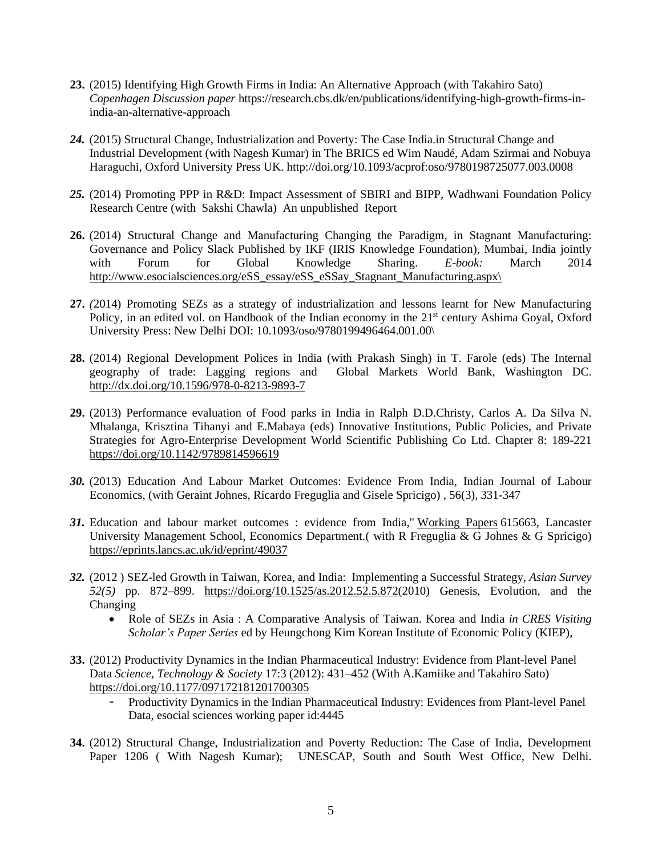- **23.** (2015) Identifying High Growth Firms in India: An Alternative Approach (with Takahiro Sato) *Copenhagen Discussion paper* https://research.cbs.dk/en/publications/identifying-high-growth-firms-inindia-an-alternative-approach
- *24.* (2015) Structural Change, Industrialization and Poverty: The Case India.in Structural Change and Industrial Development (with Nagesh Kumar) in The BRICS ed Wim Naudé, Adam Szirmai and Nobuya Haraguchi, Oxford University Press UK. http://doi.org/10.1093/acprof:oso/9780198725077.003.0008
- *25.* (2014) Promoting PPP in R&D: Impact Assessment of SBIRI and BIPP, Wadhwani Foundation Policy Research Centre (with Sakshi Chawla) An unpublished Report
- **26.** (2014) Structural Change and Manufacturing Changing the Paradigm, in Stagnant Manufacturing: Governance and Policy Slack Published by IKF (IRIS Knowledge Foundation), Mumbai, India jointly with Forum for Global Knowledge Sharing. *E-book:* March 2014 [http://www.esocialsciences.org/eSS\\_essay/eSS\\_eSSay\\_Stagnant\\_Manufacturing.aspx\](http://www.esocialsciences.org/eSS_essay/eSS_eSSay_Stagnant_Manufacturing.aspx/)
- **27.** *(*2014) Promoting SEZs as a strategy of industrialization and lessons learnt for New Manufacturing Policy, in an edited vol. on Handbook of the Indian economy in the 21<sup>st</sup> century Ashima Goyal, Oxford University Press: New Delhi DOI: 10.1093/oso/9780199496464.001.00\
- **28.** (2014) Regional Development Polices in India (with Prakash Singh) in T. Farole (eds) The Internal geography of trade: Lagging regions and Global Markets World Bank, Washington DC. <http://dx.doi.org/10.1596/978-0-8213-9893-7>
- **29.** (2013) Performance evaluation of Food parks in India in Ralph D.D.Christy, Carlos A. Da Silva N. Mhalanga, Krisztina Tihanyi and E.Mabaya (eds) Innovative Institutions, Public Policies, and Private Strategies for Agro-Enterprise Development World Scientific Publishing Co Ltd. Chapter 8: 189-221 <https://doi.org/10.1142/9789814596619>
- *30.* (2013) Education And Labour Market Outcomes: Evidence From India, Indian Journal of Labour Economics, (with Geraint Johnes, Ricardo Freguglia and Gisele Spricigo) , 56(3), 331-347
- *31.* Education and labour market outcomes : evidence from India," Working Papers 615663, Lancaster University Management School, Economics Department.( with R Freguglia & G Johnes & G Spricigo) <https://eprints.lancs.ac.uk/id/eprint/49037>
- *32.* (2012 ) SEZ-led Growth in Taiwan, Korea, and India: Implementing a Successful Strategy, *Asian Survey 52(5)* pp. 872–899. [https://doi.org/10.1525/as.2012.52.5.872\(](https://doi.org/10.1525/as.2012.52.5.872)2010) Genesis, Evolution, and the Changing
	- Role of SEZs in Asia : A Comparative Analysis of Taiwan. Korea and India *in CRES Visiting Scholar's Paper Series* ed by Heungchong Kim Korean Institute of Economic Policy (KIEP),
- **33.** (2012) Productivity Dynamics in the Indian Pharmaceutical Industry: Evidence from Plant-level Panel Data *Science, Technology & Society* 17:3 (2012): 431–452 (With A.Kamiike and Takahiro Sato) [https://doi.org/10.1177/097172181201700305](https://doi.org/10.1177%2F097172181201700305)
	- Productivity Dynamics in the Indian Pharmaceutical Industry: Evidences from Plant-level Panel Data, esocial sciences working paper id:4445
- **34.** (2012) Structural Change, Industrialization and Poverty Reduction: The Case of India, Development Paper 1206 ( With Nagesh Kumar); UNESCAP, South and South West Office, New Delhi.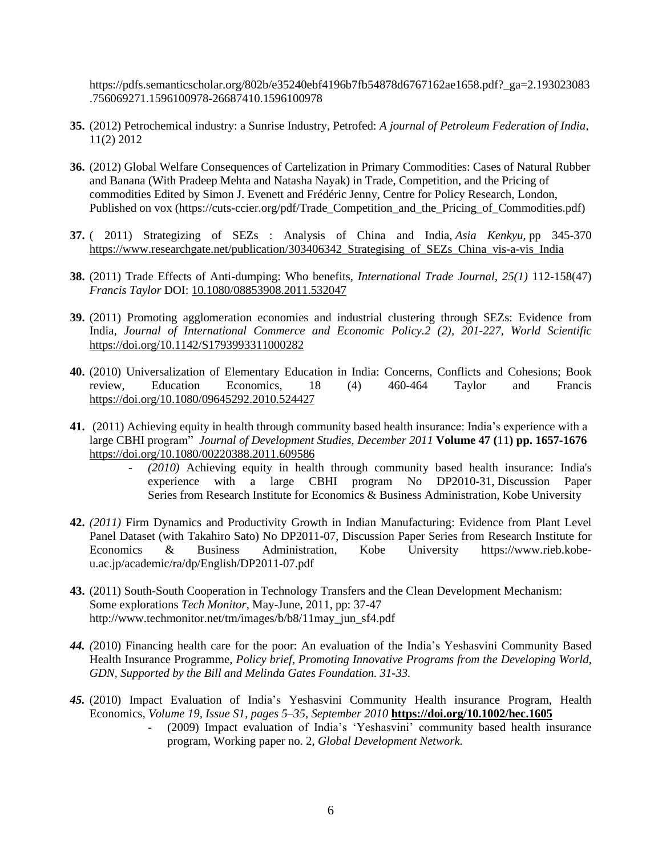https://pdfs.semanticscholar.org/802b/e35240ebf4196b7fb54878d6767162ae1658.pdf?\_ga=2.193023083 .756069271.1596100978-26687410.1596100978

- **35.** (2012) Petrochemical industry: a Sunrise Industry, Petrofed: *A journal of Petroleum Federation of India,* 11(2) 2012
- **36.** (2012) Global Welfare Consequences of Cartelization in Primary Commodities: Cases of Natural Rubber and Banana (With Pradeep Mehta and Natasha Nayak) in Trade, Competition, and the Pricing of commodities Edited by Simon J. Evenett and Frédéric Jenny, Centre for Policy Research, London, Published on vox (https://cuts-ccier.org/pdf/Trade\_Competition\_and\_the\_Pricing\_of\_Commodities.pdf)
- **37.** ( 2011) Strategizing of SEZs : Analysis of China and India, *Asia Kenkyu,* pp 345-370 https://www.researchgate.net/publication/303406342 Strategising of SEZs China vis-a-vis India
- **38.** (2011) Trade Effects of Anti-dumping: Who benefits, *International Trade Journal, 25(1)* 112-158(47) *Francis Taylor* DOI: [10.1080/08853908.2011.532047](https://www.researchgate.net/deref/http%3A%2F%2Fdx.doi.org%2F10.1080%2F08853908.2011.532047?_sg%5B0%5D=L6kE1-Zuw6521op23FaoM1nx2vVMevxb14E2KJ7Jff3MV190wJsRoYich6v52Q1Wx1SUNsXnO3B7pPEcmlVaDKEg5g.1ajIhlpLq0Mubr7l-JbX1GaTe-fFBP71PG6rz1v3EhEPH3fKAZLoX23NMP26ip_kCXLb3T_xEiufy0FbUBuBIw)
- **39.** (2011) Promoting agglomeration economies and industrial clustering through SEZs: Evidence from India, *Journal of International Commerce and Economic Policy.2 (2), 201-227, World Scientific* <https://doi.org/10.1142/S1793993311000282>
- **40.** (2010) Universalization of Elementary Education in India: Concerns, Conflicts and Cohesions; Book review, Education Economics, 18 (4) 460-464 Taylor and Francis <https://doi.org/10.1080/09645292.2010.524427>
- **41.** (2011) Achieving equity in health through community based health insurance: India's experience with a large CBHI program" *Journal of Development Studies, December 2011* **Volume 47 (**11**) pp. 1657-1676**  <https://doi.org/10.1080/00220388.2011.609586>
	- *(2010)* Achieving equity in health through community based health insurance: India's experience with a large CBHI program No DP2010-31, Discussion Paper Series from Research Institute for Economics & Business Administration, Kobe University
- **42.** *(2011)* Firm Dynamics and Productivity Growth in Indian Manufacturing: Evidence from Plant Level Panel Dataset (with Takahiro Sato) No DP2011-07, Discussion Paper Series from Research Institute for Economics & Business Administration, Kobe University https://www.rieb.kobeu.ac.jp/academic/ra/dp/English/DP2011-07.pdf
- **43.** (2011) South-South Cooperation in Technology Transfers and the Clean Development Mechanism: Some explorations *Tech Monitor,* May-June, 2011, pp: 37-47 http://www.techmonitor.net/tm/images/b/b8/11may\_jun\_sf4.pdf
- *44. (*2010) Financing health care for the poor: An evaluation of the India's Yeshasvini Community Based Health Insurance Programme, *Policy brief, Promoting Innovative Programs from the Developing World, GDN, Supported by the Bill and Melinda Gates Foundation. 31-33.*
- *45.* (2010) Impact Evaluation of India's Yeshasvini Community Health insurance Program, Health Economics*, Volume 19, Issue S1, pages 5–35, September 2010* **<https://doi.org/10.1002/hec.1605>**
	- (2009) Impact evaluation of India's 'Yeshasvini' community based health insurance program, Working paper no. 2, *Global Development Network.*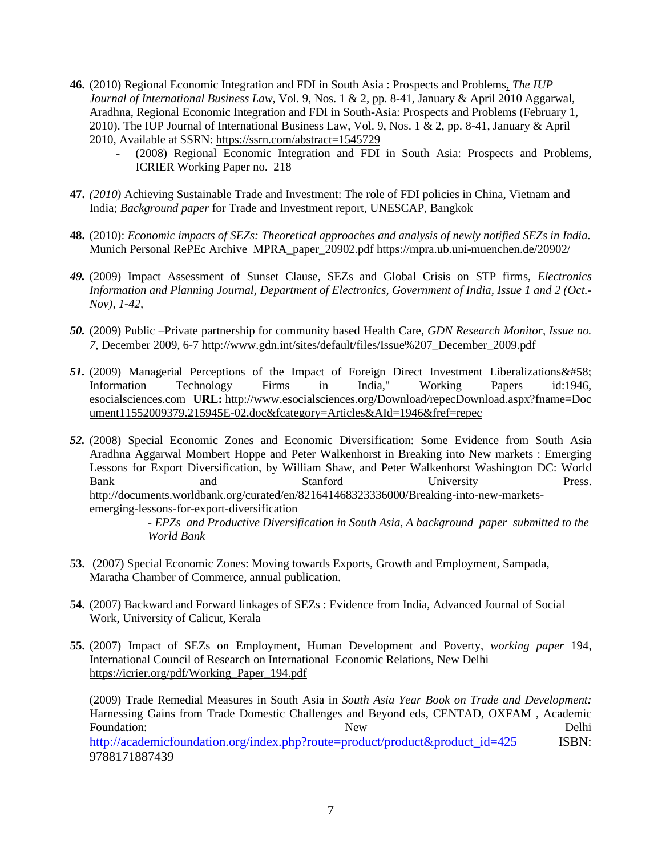- **46.** (2010) Regional Economic Integration and FDI in South Asia : Prospects and Problems, *The IUP Journal of International Business Law,* Vol. 9, Nos. 1 & 2, pp. 8-41, January & April 2010 Aggarwal, Aradhna, Regional Economic Integration and FDI in South-Asia: Prospects and Problems (February 1, 2010). The IUP Journal of International Business Law, Vol. 9, Nos. 1 & 2, pp. 8-41, January & April 2010, Available at SSRN: <https://ssrn.com/abstract=1545729>
	- (2008) Regional Economic Integration and FDI in South Asia: Prospects and Problems, ICRIER Working Paper no. 218
- **47.** *(2010)* Achieving Sustainable Trade and Investment: The role of FDI policies in China, Vietnam and India; *Background paper* for Trade and Investment report, UNESCAP, Bangkok
- **48.** (2010): *Economic impacts of SEZs: Theoretical approaches and analysis of newly notified SEZs in India.* Munich Personal RePEc Archive MPRA\_paper\_20902.pdf https://mpra.ub.uni-muenchen.de/20902/
- *49.* (2009) Impact Assessment of Sunset Clause, SEZs and Global Crisis on STP firms, *Electronics Information and Planning Journal, Department of Electronics, Government of India, Issue 1 and 2 (Oct.- Nov), 1-42,*
- *50.* (2009) Public –Private partnership for community based Health Care*, GDN Research Monitor, Issue no. 7,* December 2009, 6-7 [http://www.gdn.int/sites/default/files/Issue%207\\_December\\_2009.pdf](http://www.gdn.int/sites/default/files/Issue%207_December_2009.pdf)
- 51. (2009) Managerial Perceptions of the Impact of Foreign Direct Investment Liberalizations & #58; Information Technology Firms in India," Working Papers id:1946, esocialsciences.com **URL:** [http://www.esocialsciences.org/Download/repecDownload.aspx?fname=Doc](http://www.esocialsciences.org/Download/repecDownload.aspx?fname=Document11552009379.215945E-02.doc&fcategory=Articles&AId=1946&fref=repec) [ument11552009379.215945E-02.doc&fcategory=Articles&AId=1946&fref=repec](http://www.esocialsciences.org/Download/repecDownload.aspx?fname=Document11552009379.215945E-02.doc&fcategory=Articles&AId=1946&fref=repec)
- *52.* (2008) Special Economic Zones and Economic Diversification: Some Evidence from South Asia Aradhna Aggarwal Mombert Hoppe and Peter Walkenhorst in Breaking into New markets : Emerging Lessons for Export Diversification, by William Shaw, and Peter Walkenhorst Washington DC: World Bank and Stanford University Press. http://documents.worldbank.org/curated/en/821641468323336000/Breaking-into-new-marketsemerging-lessons-for-export-diversification

*- EPZs and Productive Diversification in South Asia, A background paper submitted to the World Bank*

- **53.** (2007) Special Economic Zones: Moving towards Exports, Growth and Employment, Sampada, Maratha Chamber of Commerce, annual publication.
- **54.** (2007) Backward and Forward linkages of SEZs : Evidence from India, Advanced Journal of Social Work, University of Calicut, Kerala
- **55.** (2007) Impact of SEZs on Employment, Human Development and Poverty, *working paper* 194, International Council of Research on International Economic Relations, New Delhi [https://icrier.org/pdf/Working\\_Paper\\_194.pdf](https://icrier.org/pdf/Working_Paper_194.pdf)

(2009) Trade Remedial Measures in South Asia in *South Asia Year Book on Trade and Development:* Harnessing Gains from Trade Domestic Challenges and Beyond eds, CENTAD, OXFAM , Academic Foundation: Delhi

[http://academicfoundation.org/index.php?route=product/product&product\\_id=425](http://academicfoundation.org/index.php?route=product/product&product_id=425) ISBN: 9788171887439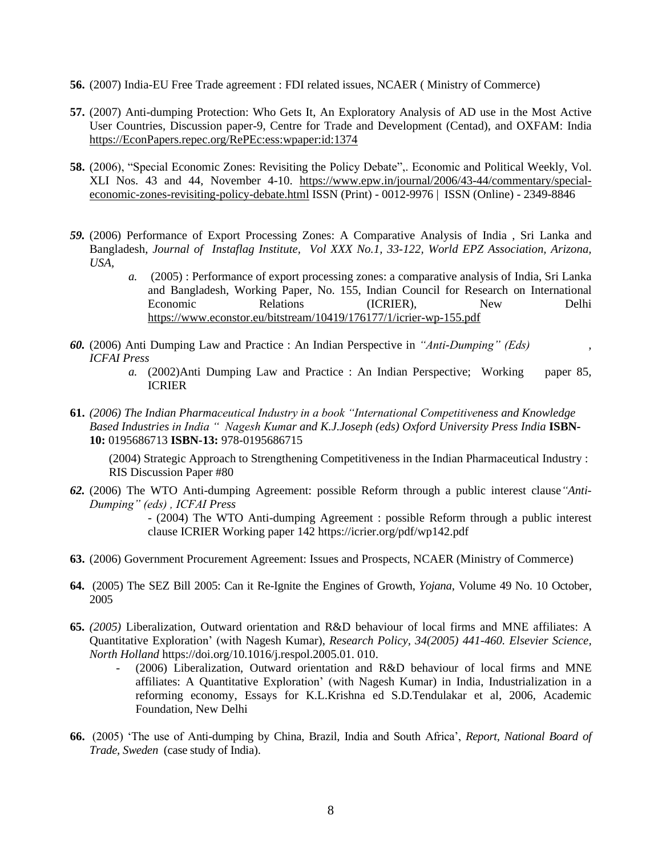- **56.** (2007) India-EU Free Trade agreement : FDI related issues, NCAER ( Ministry of Commerce)
- **57.** (2007) Anti-dumping Protection: Who Gets It, An Exploratory Analysis of AD use in the Most Active User Countries, Discussion paper-9, Centre for Trade and Development (Centad), and OXFAM: India [https://EconPapers.repec.org/RePEc:ess:wpaper:id:1374](https://econpapers.repec.org/RePEc:ess:wpaper:id:1374)
- **58.** (2006), "Special Economic Zones: Revisiting the Policy Debate",. Economic and Political Weekly, Vol. XLI Nos. 43 and 44, November 4-10. [https://www.epw.in/journal/2006/43-44/commentary/special](https://www.epw.in/journal/2006/43-44/commentary/special-economic-zones-revisiting-policy-debate.html)[economic-zones-revisiting-policy-debate.html](https://www.epw.in/journal/2006/43-44/commentary/special-economic-zones-revisiting-policy-debate.html) ISSN (Print) - 0012-9976 | ISSN (Online) - 2349-8846
- *59.* (2006) Performance of Export Processing Zones: A Comparative Analysis of India , Sri Lanka and Bangladesh, *Journal of Instaflag Institute, Vol XXX No.1, 33-122, World EPZ Association, Arizona, USA,*
	- *a.* (2005) : Performance of export processing zones: a comparative analysis of India, Sri Lanka and Bangladesh, Working Paper, No. 155, Indian Council for Research on International Economic Relations (ICRIER), New Delhi <https://www.econstor.eu/bitstream/10419/176177/1/icrier-wp-155.pdf>
- *60.* (2006) Anti Dumping Law and Practice : An Indian Perspective in *"Anti-Dumping" (Eds) , ICFAI Press*
	- *a.* (2002)Anti Dumping Law and Practice : An Indian Perspective; Working paper 85, ICRIER
- **61.** *(2006) The Indian Pharmaceutical Industry in a book "International Competitiveness and Knowledge Based Industries in India " Nagesh Kumar and K.J.Joseph (eds) Oxford University Press India* **ISBN-10:** 0195686713 **ISBN-13:** 978-0195686715

(2004) Strategic Approach to Strengthening Competitiveness in the Indian Pharmaceutical Industry : RIS Discussion Paper #80

*62.* (2006) The WTO Anti-dumping Agreement: possible Reform through a public interest clause*"Anti-Dumping" (eds) , ICFAI Press*

> - (2004) The WTO Anti-dumping Agreement : possible Reform through a public interest clause ICRIER Working paper 142 https://icrier.org/pdf/wp142.pdf

- **63.** (2006) Government Procurement Agreement: Issues and Prospects, NCAER (Ministry of Commerce)
- **64.** (2005) The SEZ Bill 2005: Can it Re-Ignite the Engines of Growth, *Yojana*, Volume 49 No. 10 October, 2005
- **65.** *(2005)* Liberalization, Outward orientation and R&D behaviour of local firms and MNE affiliates: A Quantitative Exploration' (with Nagesh Kumar), *Research Policy, 34(2005) 441-460. Elsevier Science, North Holland* https://doi.org/10.1016/j.respol.2005.01. 010.
	- (2006) Liberalization, Outward orientation and R&D behaviour of local firms and MNE affiliates: A Quantitative Exploration' (with Nagesh Kumar) in India, Industrialization in a reforming economy, Essays for K.L.Krishna ed S.D.Tendulakar et al, 2006, Academic Foundation, New Delhi
- **66.** (2005) 'The use of Anti-dumping by China, Brazil, India and South Africa', *Report, National Board of Trade, Sweden* (case study of India).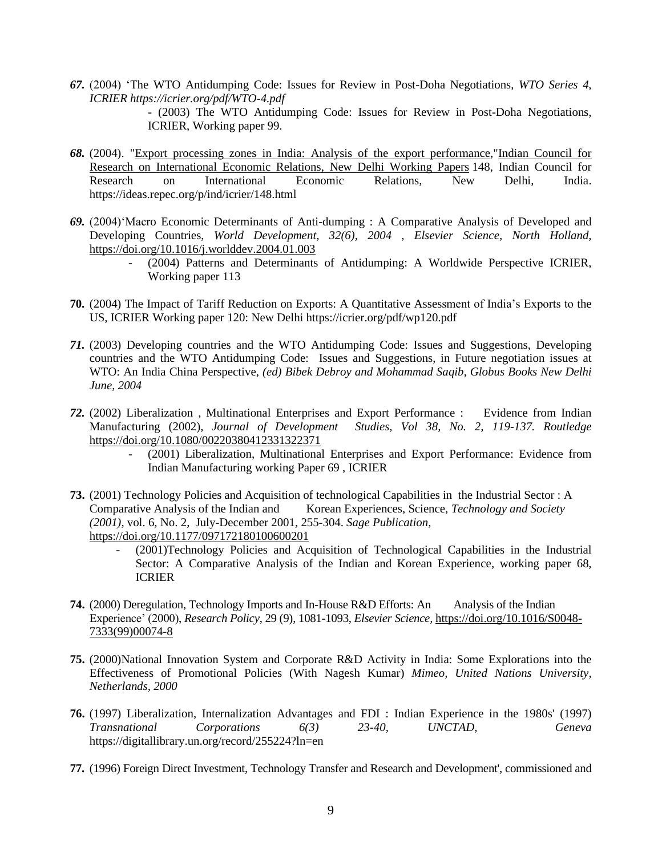*67.* (2004) 'The WTO Antidumping Code: Issues for Review in Post-Doha Negotiations, *WTO Series 4, ICRIER https://icrier.org/pdf/WTO-4.pdf*

> *-* (2003) The WTO Antidumping Code: Issues for Review in Post-Doha Negotiations, ICRIER, Working paper 99.

- *68.* (2004). ["Export processing zones in India: Analysis of the export performance,](https://ideas.repec.org/p/ind/icrier/148.html)["Indian Council for](https://ideas.repec.org/s/ind/icrier.html)  [Research on International Economic Relations, New Delhi Working Papers](https://ideas.repec.org/s/ind/icrier.html) 148, Indian Council for Research on International Economic Relations, New Delhi, India. https://ideas.repec.org/p/ind/icrier/148.html
- *69.* (2004)'Macro Economic Determinants of Anti-dumping : A Comparative Analysis of Developed and Developing Countries, *World Development, 32(6), 2004 , Elsevier Science, North Holland,*  <https://doi.org/10.1016/j.worlddev.2004.01.003>
	- (2004) Patterns and Determinants of Antidumping: A Worldwide Perspective ICRIER, Working paper 113
- **70.** (2004) The Impact of Tariff Reduction on Exports: A Quantitative Assessment of India's Exports to the US, ICRIER Working paper 120: New Delhi https://icrier.org/pdf/wp120.pdf
- *71.* (2003) Developing countries and the WTO Antidumping Code: Issues and Suggestions, Developing countries and the WTO Antidumping Code: Issues and Suggestions, in Future negotiation issues at WTO: An India China Perspective, *(ed) Bibek Debroy and Mohammad Saqib, Globus Books New Delhi June, 2004*
- *72.* (2002) Liberalization , Multinational Enterprises and Export Performance : Evidence from Indian Manufacturing (2002), *Journal of Development Studies, Vol 38, No. 2, 119-137. Routledge* <https://doi.org/10.1080/00220380412331322371>
	- (2001) Liberalization, Multinational Enterprises and Export Performance: Evidence from Indian Manufacturing working Paper 69 , ICRIER
- **73.** (2001) Technology Policies and Acquisition of technological Capabilities in the Industrial Sector : A Comparative Analysis of the Indian and Korean Experiences, Science, *Technology and Society (2001)*, vol. 6, No. 2, July-December 2001, 255-304. *Sage Publication,*  [https://doi.org/10.1177/097172180100600201](https://doi.org/10.1177%2F097172180100600201)
	- (2001)Technology Policies and Acquisition of Technological Capabilities in the Industrial Sector: A Comparative Analysis of the Indian and Korean Experience, working paper 68, ICRIER
- **74.** (2000) Deregulation, Technology Imports and In-House R&D Efforts: An Analysis of the Indian Experience' (2000), *Research Policy*, 29 (9), 1081-1093*, Elsevier Science,* [https://doi.org/10.1016/S0048-](https://doi.org/10.1016/S0048-7333(99)00074-8) [7333\(99\)00074-8](https://doi.org/10.1016/S0048-7333(99)00074-8)
- **75.** (2000)National Innovation System and Corporate R&D Activity in India: Some Explorations into the Effectiveness of Promotional Policies (With Nagesh Kumar) *Mimeo, United Nations University, Netherlands, 2000*
- **76.** (1997) Liberalization, Internalization Advantages and FDI : Indian Experience in the 1980s' (1997) *Transnational Corporations 6(3) 23-40, UNCTAD, Geneva* https://digitallibrary.un.org/record/255224?ln=en
- **77.** (1996) Foreign Direct Investment, Technology Transfer and Research and Development', commissioned and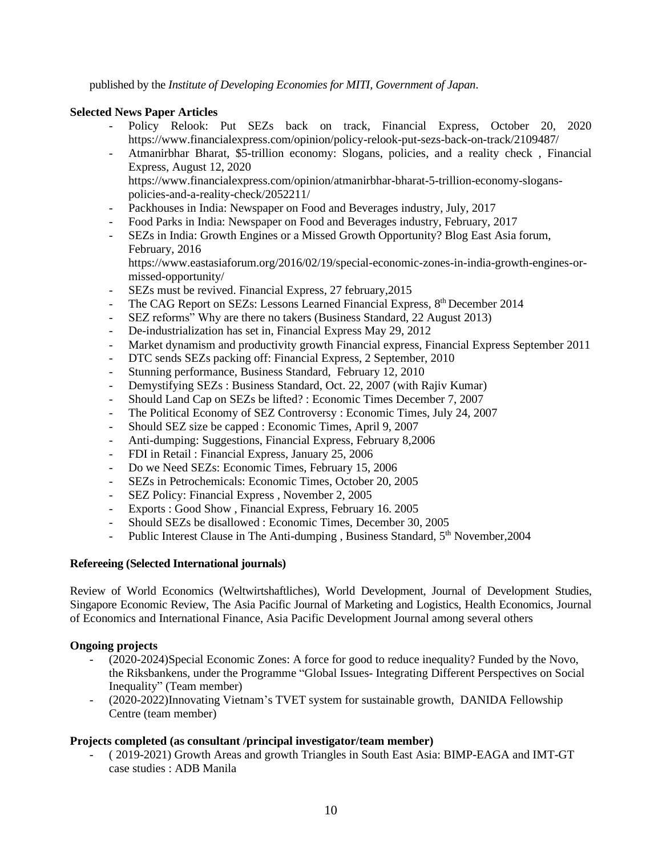published by the *Institute of Developing Economies for MITI, Government of Japan*.

## **Selected News Paper Articles**

- Policy Relook: Put SEZs back on track, Financial Express, October 20, 2020 https://www.financialexpress.com/opinion/policy-relook-put-sezs-back-on-track/2109487/
- Atmanirbhar Bharat, \$5-trillion economy: Slogans, policies, and a reality check , Financial Express, August 12, 2020 https://www.financialexpress.com/opinion/atmanirbhar-bharat-5-trillion-economy-slogans-

policies-and-a-reality-check/2052211/

- Packhouses in India: Newspaper on Food and Beverages industry, July, 2017
- Food Parks in India: Newspaper on Food and Beverages industry, February, 2017
- SEZs in India: Growth Engines or a Missed Growth Opportunity? Blog East Asia forum, February, 2016

https://www.eastasiaforum.org/2016/02/19/special-economic-zones-in-india-growth-engines-ormissed-opportunity/

- SEZs must be revived. Financial Express, 27 february, 2015
- The CAG Report on SEZs: Lessons Learned Financial Express, 8<sup>th</sup> December 2014
- SEZ reforms" Why are there no takers (Business Standard, 22 August 2013)
- De-industrialization has set in, Financial Express May 29, 2012
- Market dynamism and productivity growth Financial express, Financial Express September 2011
- DTC sends SEZs packing off: Financial Express, 2 September, 2010
- Stunning performance, Business Standard, February 12, 2010
- Demystifying SEZs : Business Standard, Oct. 22, 2007 (with Rajiv Kumar)
- Should Land Cap on SEZs be lifted? : Economic Times December 7, 2007
- The Political Economy of SEZ Controversy : Economic Times, July 24, 2007
- Should SEZ size be capped : Economic Times, April 9, 2007
- Anti-dumping: Suggestions, Financial Express, February 8,2006
- FDI in Retail : Financial Express, January 25, 2006
- Do we Need SEZs: Economic Times, February 15, 2006
- SEZs in Petrochemicals: Economic Times, October 20, 2005
- SEZ Policy: Financial Express, November 2, 2005
- Exports : Good Show , Financial Express, February 16. 2005
- Should SEZs be disallowed : Economic Times, December 30, 2005
- Public Interest Clause in The Anti-dumping, Business Standard, 5<sup>th</sup> November, 2004

### **Refereeing (Selected International journals)**

Review of World Economics (Weltwirtshaftliches), World Development, Journal of Development Studies, Singapore Economic Review, The Asia Pacific Journal of Marketing and Logistics, Health Economics, Journal of Economics and International Finance, Asia Pacific Development Journal among several others

### **Ongoing projects**

- (2020-2024)Special Economic Zones: A force for good to reduce inequality? Funded by the Novo, the Riksbankens, under the Programme "Global Issues- Integrating Different Perspectives on Social Inequality" (Team member)
- (2020-2022)Innovating Vietnam's TVET system for sustainable growth, DANIDA Fellowship Centre (team member)

# **Projects completed (as consultant /principal investigator/team member)**

- ( 2019-2021) Growth Areas and growth Triangles in South East Asia: BIMP-EAGA and IMT-GT case studies : ADB Manila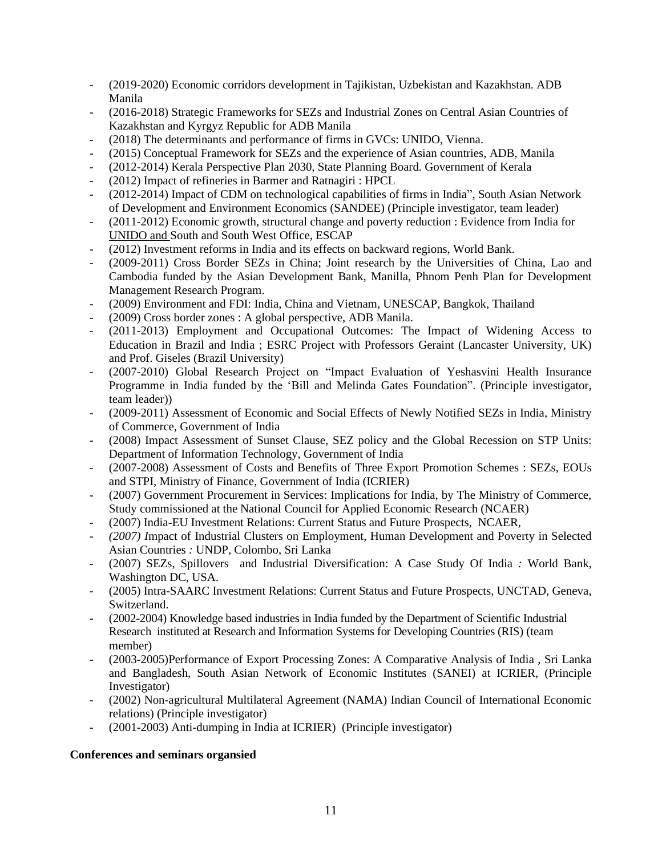- (2019-2020) Economic corridors development in Tajikistan, Uzbekistan and Kazakhstan. ADB Manila
- (2016-2018) Strategic Frameworks for SEZs and Industrial Zones on Central Asian Countries of Kazakhstan and Kyrgyz Republic for ADB Manila
- (2018) The determinants and performance of firms in GVCs: UNIDO, Vienna.
- (2015) Conceptual Framework for SEZs and the experience of Asian countries, ADB, Manila
- (2012-2014) Kerala Perspective Plan 2030, State Planning Board. Government of Kerala
- (2012) Impact of refineries in Barmer and Ratnagiri : HPCL
- (2012-2014) Impact of CDM on technological capabilities of firms in India", South Asian Network of Development and Environment Economics (SANDEE) (Principle investigator, team leader)
- (2011-2012) Economic growth, structural change and poverty reduction : Evidence from India for UNIDO and South and South West Office, ESCAP
- (2012) Investment reforms in India and its effects on backward regions, World Bank.
- (2009-2011) Cross Border SEZs in China; Joint research by the Universities of China, Lao and Cambodia funded by the Asian Development Bank, Manilla, Phnom Penh Plan for Development Management Research Program.
- (2009) Environment and FDI: India, China and Vietnam, UNESCAP, Bangkok, Thailand
- (2009) Cross border zones : A global perspective, ADB Manila.
- (2011-2013) Employment and Occupational Outcomes: The Impact of Widening Access to Education in Brazil and India ; ESRC Project with Professors Geraint (Lancaster University, UK) and Prof. Giseles (Brazil University)
- (2007-2010) Global Research Project on "Impact Evaluation of Yeshasvini Health Insurance Programme in India funded by the 'Bill and Melinda Gates Foundation". (Principle investigator, team leader))
- (2009-2011) Assessment of Economic and Social Effects of Newly Notified SEZs in India, Ministry of Commerce, Government of India
- (2008) Impact Assessment of Sunset Clause, SEZ policy and the Global Recession on STP Units: Department of Information Technology, Government of India
- (2007-2008) Assessment of Costs and Benefits of Three Export Promotion Schemes : SEZs, EOUs and STPI, Ministry of Finance, Government of India (ICRIER)
- (2007) Government Procurement in Services: Implications for India, by The Ministry of Commerce, Study commissioned at the National Council for Applied Economic Research (NCAER)
- (2007) India-EU Investment Relations: Current Status and Future Prospects, NCAER,
- *(2007) I*mpact of Industrial Clusters on Employment, Human Development and Poverty in Selected Asian Countries *:* UNDP, Colombo, Sri Lanka
- (2007) SEZs, Spillovers and Industrial Diversification: A Case Study Of India *:* World Bank, Washington DC, USA.
- (2005) Intra-SAARC Investment Relations: Current Status and Future Prospects, UNCTAD, Geneva, Switzerland.
- (2002-2004) Knowledge based industries in India funded by the Department of Scientific Industrial Research instituted at Research and Information Systems for Developing Countries (RIS) (team member)
- (2003-2005)Performance of Export Processing Zones: A Comparative Analysis of India , Sri Lanka and Bangladesh, South Asian Network of Economic Institutes (SANEI) at ICRIER, (Principle Investigator)
- (2002) Non-agricultural Multilateral Agreement (NAMA) Indian Council of International Economic relations) (Principle investigator)
- (2001-2003) Anti-dumping in India at ICRIER) (Principle investigator)

# **Conferences and seminars organsied**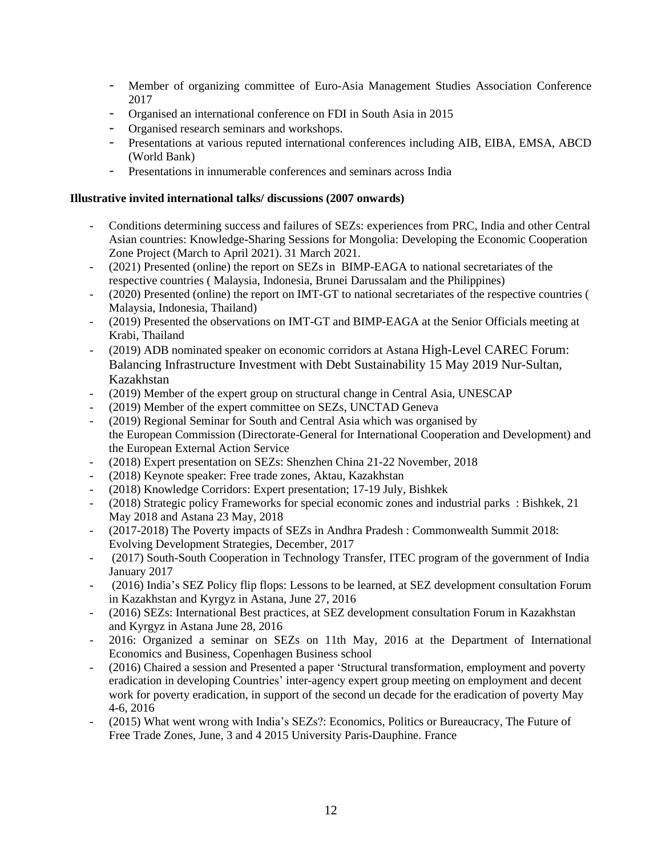- Member of organizing committee of Euro-Asia Management Studies Association Conference 2017
- Organised an international conference on FDI in South Asia in 2015
- Organised research seminars and workshops.
- Presentations at various reputed international conferences including AIB, EIBA, EMSA, ABCD (World Bank)
- Presentations in innumerable conferences and seminars across India

### **Illustrative invited international talks/ discussions (2007 onwards)**

- Conditions determining success and failures of SEZs: experiences from PRC, India and other Central Asian countries: Knowledge-Sharing Sessions for Mongolia: Developing the Economic Cooperation Zone Project (March to April 2021). 31 March 2021.
- (2021) Presented (online) the report on SEZs in BIMP-EAGA to national secretariates of the respective countries ( Malaysia, Indonesia, Brunei Darussalam and the Philippines)
- (2020) Presented (online) the report on IMT-GT to national secretariates of the respective countries ( Malaysia, Indonesia, Thailand)
- (2019) Presented the observations on IMT-GT and BIMP-EAGA at the Senior Officials meeting at Krabi, Thailand
- (2019) ADB nominated speaker on economic corridors at Astana High-Level CAREC Forum: Balancing Infrastructure Investment with Debt Sustainability 15 May 2019 Nur-Sultan, Kazakhstan
- (2019) Member of the expert group on structural change in Central Asia, UNESCAP
- (2019) Member of the expert committee on SEZs, UNCTAD Geneva
- (2019) Regional Seminar for South and Central Asia which was organised by the European Commission (Directorate-General for International Cooperation and Development) and the European External Action Service
- (2018) Expert presentation on SEZs: Shenzhen China 21-22 November, 2018
- (2018) Keynote speaker: Free trade zones, Aktau, Kazakhstan
- (2018) Knowledge Corridors: Expert presentation; 17-19 July, Bishkek
- (2018) Strategic policy Frameworks for special economic zones and industrial parks : Bishkek, 21 May 2018 and Astana 23 May, 2018
- (2017-2018) The Poverty impacts of SEZs in Andhra Pradesh : Commonwealth Summit 2018: Evolving Development Strategies, December, 2017
- (2017) South-South Cooperation in Technology Transfer, ITEC program of the government of India January 2017
- (2016) India's SEZ Policy flip flops: Lessons to be learned, at SEZ development consultation Forum in Kazakhstan and Kyrgyz in Astana, June 27, 2016
- (2016) SEZs: International Best practices, at SEZ development consultation Forum in Kazakhstan and Kyrgyz in Astana June 28, 2016
- 2016: Organized a seminar on SEZs on 11th May, 2016 at the Department of International Economics and Business, Copenhagen Business school
- (2016) Chaired a session and Presented a paper 'Structural transformation, employment and poverty eradication in developing Countries' inter-agency expert group meeting on employment and decent work for poverty eradication, in support of the second un decade for the eradication of poverty May 4-6, 2016
- (2015) What went wrong with India's SEZs?: Economics, Politics or Bureaucracy, The Future of Free Trade Zones, June, 3 and 4 2015 University Paris-Dauphine. France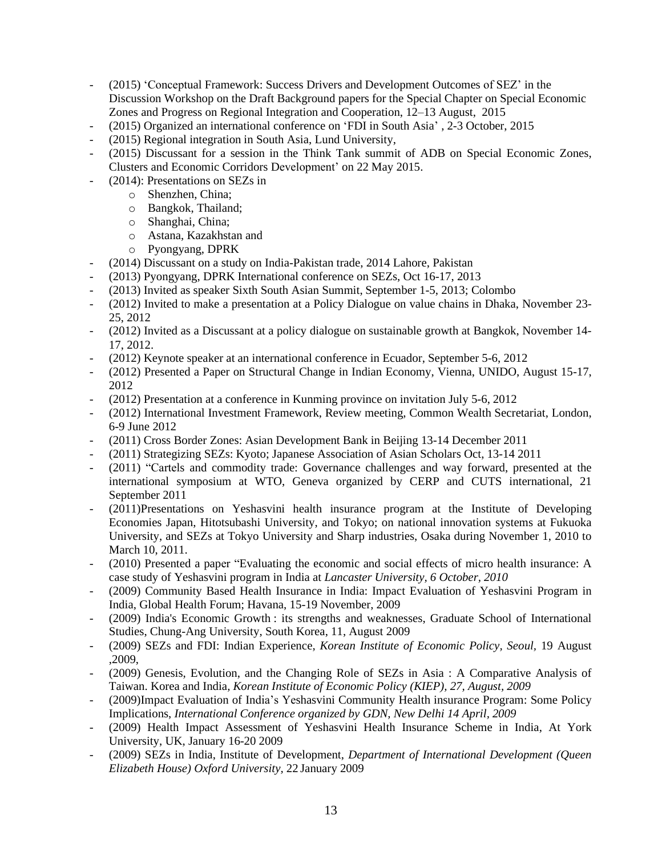- (2015) 'Conceptual Framework: Success Drivers and Development Outcomes of SEZ' in the Discussion Workshop on the Draft Background papers for the Special Chapter on Special Economic Zones and Progress on Regional Integration and Cooperation, 12–13 August, 2015
- (2015) Organized an international conference on 'FDI in South Asia' , 2-3 October, 2015
- (2015) Regional integration in South Asia, Lund University,
- (2015) Discussant for a session in the Think Tank summit of ADB on Special Economic Zones, Clusters and Economic Corridors Development' on 22 May 2015.
- (2014): Presentations on SEZs in
	- o Shenzhen, China;
	- o Bangkok, Thailand;
	- o Shanghai, China;
	- o Astana, Kazakhstan and
	- o Pyongyang, DPRK
- (2014) Discussant on a study on India-Pakistan trade, 2014 Lahore, Pakistan
- (2013) Pyongyang, DPRK International conference on SEZs, Oct 16-17, 2013
- (2013) Invited as speaker Sixth South Asian Summit, September 1-5, 2013; Colombo
- (2012) Invited to make a presentation at a Policy Dialogue on value chains in Dhaka, November 23- 25, 2012
- (2012) Invited as a Discussant at a policy dialogue on sustainable growth at Bangkok, November 14- 17, 2012.
- (2012) Keynote speaker at an international conference in Ecuador, September 5-6, 2012
- (2012) Presented a Paper on Structural Change in Indian Economy, Vienna, UNIDO, August 15-17, 2012
- (2012) Presentation at a conference in Kunming province on invitation July 5-6, 2012
- (2012) International Investment Framework, Review meeting, Common Wealth Secretariat, London, 6-9 June 2012
- (2011) Cross Border Zones: Asian Development Bank in Beijing 13-14 December 2011
- (2011) Strategizing SEZs: Kyoto; Japanese Association of Asian Scholars Oct, 13-14 2011
- (2011) "Cartels and commodity trade: Governance challenges and way forward, presented at the international symposium at WTO, Geneva organized by CERP and CUTS international, 21 September 2011
- (2011)Presentations on Yeshasvini health insurance program at the Institute of Developing Economies Japan, Hitotsubashi University, and Tokyo; on national innovation systems at Fukuoka University, and SEZs at Tokyo University and Sharp industries, Osaka during November 1, 2010 to March 10, 2011.
- (2010) Presented a paper "Evaluating the economic and social effects of micro health insurance: A case study of Yeshasvini program in India at *Lancaster University, 6 October, 2010*
- (2009) Community Based Health Insurance in India: Impact Evaluation of Yeshasvini Program in India, Global Health Forum; Havana, 15-19 November, 2009
- (2009) India's Economic Growth : its strengths and weaknesses, Graduate School of International Studies, Chung-Ang University, South Korea, 11, August 2009
- (2009) SEZs and FDI: Indian Experience, *Korean Institute of Economic Policy, Seoul,* 19 August ,2009,
- (2009) Genesis, Evolution, and the Changing Role of SEZs in Asia : A Comparative Analysis of Taiwan. Korea and India*, Korean Institute of Economic Policy (KIEP), 27, August, 2009*
- (2009)Impact Evaluation of India's Yeshasvini Community Health insurance Program: Some Policy Implications, *International Conference organized by GDN, New Delhi 14 April, 2009*
- (2009) Health Impact Assessment of Yeshasvini Health Insurance Scheme in India, At York University, UK, January 16-20 2009
- (2009) SEZs in India, Institute of Development, *Department of International Development (Queen Elizabeth House) Oxford University,* 22 January 2009